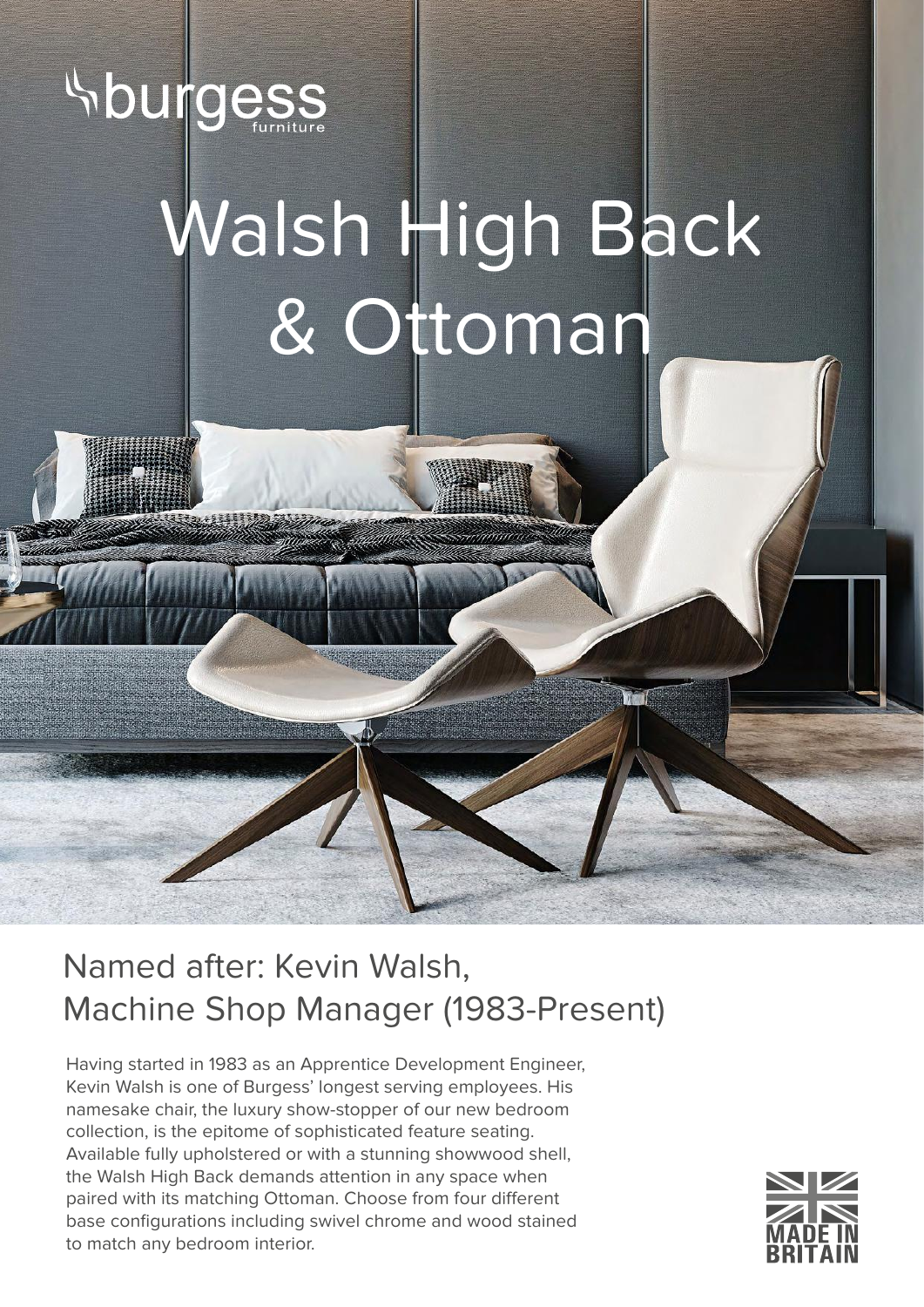# Walsh High Back & Ottoman

**Sourgess** 

# Named after: Kevin Walsh, Machine Shop Manager (1983-Present)

Having started in 1983 as an Apprentice Development Engineer, Kevin Walsh is one of Burgess' longest serving employees. His namesake chair, the luxury show-stopper of our new bedroom collection, is the epitome of sophisticated feature seating. Available fully upholstered or with a stunning showwood shell, the Walsh High Back demands attention in any space when paired with its matching Ottoman. Choose from four different base configurations including swivel chrome and wood stained to match any bedroom interior.